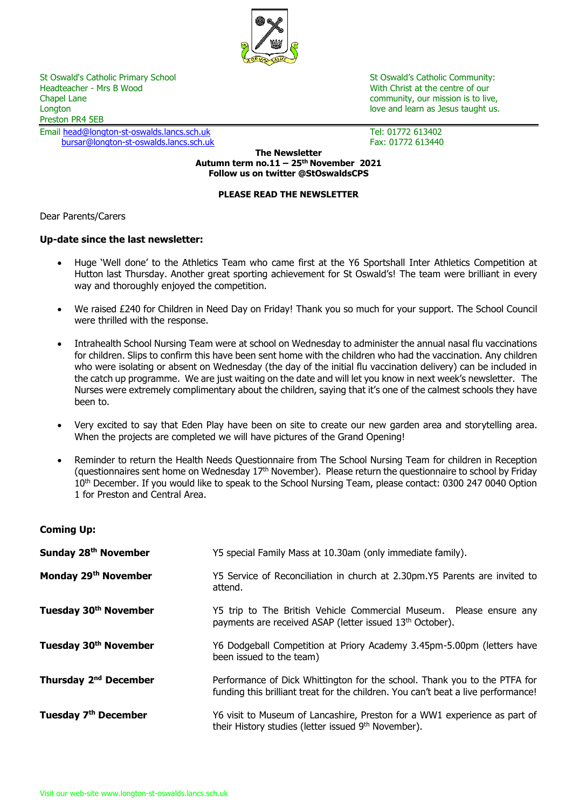

Headteacher - Mrs B Wood North Christ at the centre of our Nutle Alexander Act of our Nutle Alexander Act of our Chapel Lane Chapel Lane community, our mission is to live, community, our mission is to live, community, our mission is to live,  $\sim$ Preston PR4 5EB

Email [head@longton-st-oswalds.lancs.sch.uk](mailto:head@longton-st-oswalds.lancs.sch.uk) Tel: 01772 613402 [bursar@longton-st-oswalds.lancs.sch.uk](mailto:bursar@longton-st-oswalds.lancs.sch.uk) Fax: 01772 613440

St Oswald's Catholic Primary School St Oswald's Catholic Community: love and learn as Jesus taught us.

**The Newsletter Autumn term no.11 – 25th November 2021 Follow us on twitter @StOswaldsCPS**

### **PLEASE READ THE NEWSLETTER**

Dear Parents/Carers

# **Up-date since the last newsletter:**

- Huge 'Well done' to the Athletics Team who came first at the Y6 Sportshall Inter Athletics Competition at Hutton last Thursday. Another great sporting achievement for St Oswald's! The team were brilliant in every way and thoroughly enjoyed the competition.
- We raised £240 for Children in Need Day on Friday! Thank you so much for your support. The School Council were thrilled with the response.
- Intrahealth School Nursing Team were at school on Wednesday to administer the annual nasal flu vaccinations for children. Slips to confirm this have been sent home with the children who had the vaccination. Any children who were isolating or absent on Wednesday (the day of the initial flu vaccination delivery) can be included in the catch up programme. We are just waiting on the date and will let you know in next week's newsletter. The Nurses were extremely complimentary about the children, saying that it's one of the calmest schools they have been to.
- Very excited to say that Eden Play have been on site to create our new garden area and storytelling area. When the projects are completed we will have pictures of the Grand Opening!
- Reminder to return the Health Needs Questionnaire from The School Nursing Team for children in Reception (questionnaires sent home on Wednesday 17<sup>th</sup> November). Please return the questionnaire to school by Friday 10<sup>th</sup> December. If you would like to speak to the School Nursing Team, please contact: 0300 247 0040 Option 1 for Preston and Central Area.

| <b>Coming Up:</b> |  |
|-------------------|--|
|-------------------|--|

| Sunday 28th November              | Y5 special Family Mass at 10.30am (only immediate family).                                                                                                     |
|-----------------------------------|----------------------------------------------------------------------------------------------------------------------------------------------------------------|
| Monday 29th November              | Y5 Service of Reconciliation in church at 2.30pm.Y5 Parents are invited to<br>attend.                                                                          |
| Tuesday 30th November             | Y5 trip to The British Vehicle Commercial Museum. Please ensure any<br>payments are received ASAP (letter issued 13 <sup>th</sup> October).                    |
| Tuesday 30 <sup>th</sup> November | Y6 Dodgeball Competition at Priory Academy 3.45pm-5.00pm (letters have<br>been issued to the team)                                                             |
| Thursday 2 <sup>nd</sup> December | Performance of Dick Whittington for the school. Thank you to the PTFA for<br>funding this brilliant treat for the children. You can't beat a live performance! |
| Tuesday 7 <sup>th</sup> December  | Y6 visit to Museum of Lancashire, Preston for a WW1 experience as part of<br>their History studies (letter issued 9th November).                               |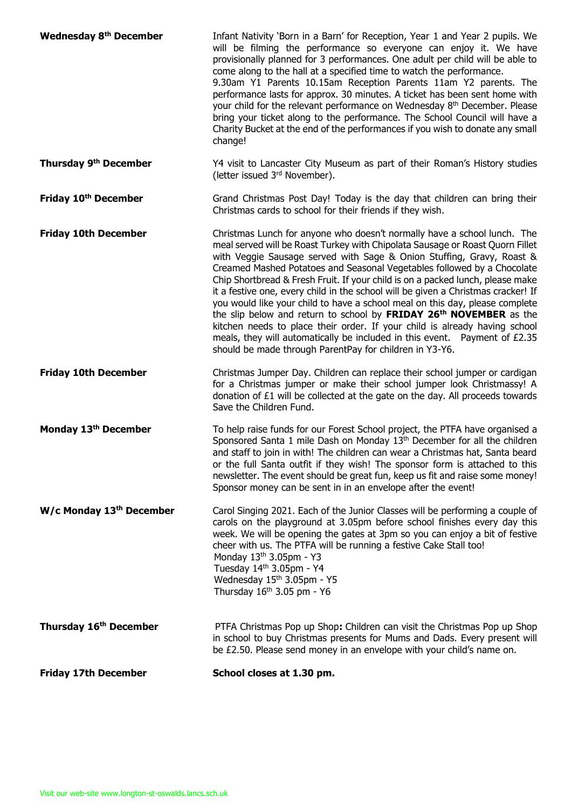| <b>Wednesday 8th December</b>     | Infant Nativity 'Born in a Barn' for Reception, Year 1 and Year 2 pupils. We<br>will be filming the performance so everyone can enjoy it. We have<br>provisionally planned for 3 performances. One adult per child will be able to<br>come along to the hall at a specified time to watch the performance.<br>9.30am Y1 Parents 10.15am Reception Parents 11am Y2 parents. The<br>performance lasts for approx. 30 minutes. A ticket has been sent home with<br>your child for the relevant performance on Wednesday 8th December. Please<br>bring your ticket along to the performance. The School Council will have a<br>Charity Bucket at the end of the performances if you wish to donate any small<br>change!                                                                                                                                                            |
|-----------------------------------|--------------------------------------------------------------------------------------------------------------------------------------------------------------------------------------------------------------------------------------------------------------------------------------------------------------------------------------------------------------------------------------------------------------------------------------------------------------------------------------------------------------------------------------------------------------------------------------------------------------------------------------------------------------------------------------------------------------------------------------------------------------------------------------------------------------------------------------------------------------------------------|
| Thursday 9 <sup>th</sup> December | Y4 visit to Lancaster City Museum as part of their Roman's History studies<br>(letter issued 3rd November).                                                                                                                                                                                                                                                                                                                                                                                                                                                                                                                                                                                                                                                                                                                                                                    |
| Friday 10th December              | Grand Christmas Post Day! Today is the day that children can bring their<br>Christmas cards to school for their friends if they wish.                                                                                                                                                                                                                                                                                                                                                                                                                                                                                                                                                                                                                                                                                                                                          |
| <b>Friday 10th December</b>       | Christmas Lunch for anyone who doesn't normally have a school lunch. The<br>meal served will be Roast Turkey with Chipolata Sausage or Roast Quorn Fillet<br>with Veggie Sausage served with Sage & Onion Stuffing, Gravy, Roast &<br>Creamed Mashed Potatoes and Seasonal Vegetables followed by a Chocolate<br>Chip Shortbread & Fresh Fruit. If your child is on a packed lunch, please make<br>it a festive one, every child in the school will be given a Christmas cracker! If<br>you would like your child to have a school meal on this day, please complete<br>the slip below and return to school by FRIDAY 26 <sup>th</sup> NOVEMBER as the<br>kitchen needs to place their order. If your child is already having school<br>meals, they will automatically be included in this event.  Payment of £2.35<br>should be made through ParentPay for children in Y3-Y6. |
| <b>Friday 10th December</b>       | Christmas Jumper Day. Children can replace their school jumper or cardigan<br>for a Christmas jumper or make their school jumper look Christmassy! A<br>donation of £1 will be collected at the gate on the day. All proceeds towards<br>Save the Children Fund.                                                                                                                                                                                                                                                                                                                                                                                                                                                                                                                                                                                                               |
| Monday 13 <sup>th</sup> December  | To help raise funds for our Forest School project, the PTFA have organised a<br>Sponsored Santa 1 mile Dash on Monday 13 <sup>th</sup> December for all the children<br>and staff to join in with! The children can wear a Christmas hat, Santa beard<br>or the full Santa outfit if they wish! The sponsor form is attached to this<br>newsletter. The event should be great fun, keep us fit and raise some money!<br>Sponsor money can be sent in in an envelope after the event!                                                                                                                                                                                                                                                                                                                                                                                           |
| W/c Monday 13th December          | Carol Singing 2021. Each of the Junior Classes will be performing a couple of<br>carols on the playground at 3.05pm before school finishes every day this<br>week. We will be opening the gates at 3pm so you can enjoy a bit of festive<br>cheer with us. The PTFA will be running a festive Cake Stall too!<br>Monday 13 <sup>th</sup> 3.05pm - Y3<br>Tuesday 14th 3.05pm - Y4<br>Wednesday 15th 3.05pm - Y5<br>Thursday 16 <sup>th</sup> 3.05 pm - Y6                                                                                                                                                                                                                                                                                                                                                                                                                       |
| Thursday 16th December            | PTFA Christmas Pop up Shop: Children can visit the Christmas Pop up Shop<br>in school to buy Christmas presents for Mums and Dads. Every present will<br>be £2.50. Please send money in an envelope with your child's name on.                                                                                                                                                                                                                                                                                                                                                                                                                                                                                                                                                                                                                                                 |
| <b>Friday 17th December</b>       | School closes at 1.30 pm.                                                                                                                                                                                                                                                                                                                                                                                                                                                                                                                                                                                                                                                                                                                                                                                                                                                      |